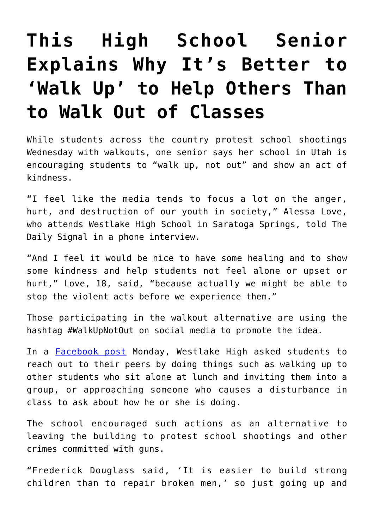## **[This High School Senior](https://intellectualtakeout.org/2018/03/this-high-school-senior-explains-why-its-better-to-walk-up-to-help-others-than-to-walk-out-of-classes/) [Explains Why It's Better to](https://intellectualtakeout.org/2018/03/this-high-school-senior-explains-why-its-better-to-walk-up-to-help-others-than-to-walk-out-of-classes/) ['Walk Up' to Help Others Than](https://intellectualtakeout.org/2018/03/this-high-school-senior-explains-why-its-better-to-walk-up-to-help-others-than-to-walk-out-of-classes/) [to Walk Out of Classes](https://intellectualtakeout.org/2018/03/this-high-school-senior-explains-why-its-better-to-walk-up-to-help-others-than-to-walk-out-of-classes/)**

While students across the country protest school shootings Wednesday with walkouts, one senior says her school in Utah is encouraging students to "walk up, not out" and show an act of kindness.

"I feel like the media tends to focus a lot on the anger, hurt, and destruction of our youth in society," Alessa Love, who attends Westlake High School in Saratoga Springs, told The Daily Signal in a phone interview.

"And I feel it would be nice to have some healing and to show some kindness and help students not feel alone or upset or hurt," Love, 18, said, "because actually we might be able to stop the violent acts before we experience them."

Those participating in the walkout alternative are using the hashtag #WalkUpNotOut on social media to promote the idea.

In a **[Facebook post](https://www.facebook.com/westlakehighschool/photos/a.10150285512768880.340706.168549428879/10155889839673880/?type=3&theater)** Monday, Westlake High asked students to reach out to their peers by doing things such as walking up to other students who sit alone at lunch and inviting them into a group, or approaching someone who causes a disturbance in class to ask about how he or she is doing.

The school encouraged such actions as an alternative to leaving the building to protest school shootings and other crimes committed with guns.

"Frederick Douglass said, 'It is easier to build strong children than to repair broken men,' so just going up and